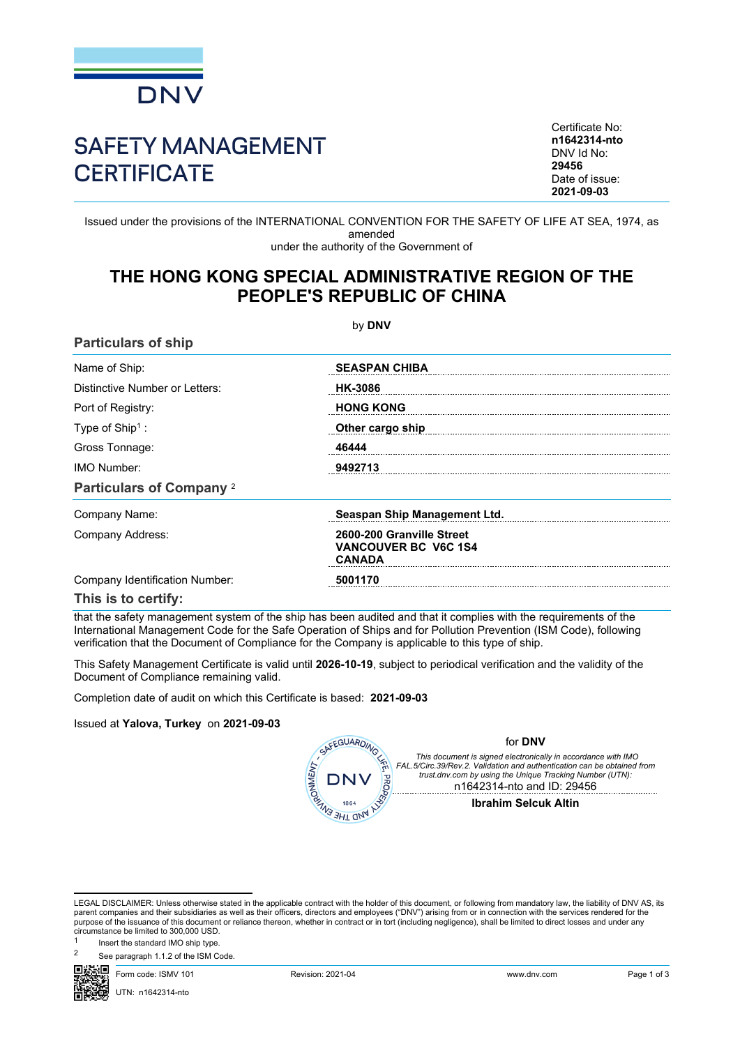

# SAFETY MANAGEMENT **CERTIFICATE**

Certificate No: **n1642314-nto** DNV Id No: **29456** Date of issue: **2021-09-03**

Issued under the provisions of the INTERNATIONAL CONVENTION FOR THE SAFETY OF LIFE AT SEA, 1974, as amended under the authority of the Government of

## **THE HONG KONG SPECIAL ADMINISTRATIVE REGION OF THE PEOPLE'S REPUBLIC OF CHINA**

by **DNV Particulars of ship** Name of Ship: **SEASPAN CHIBA** Distinctive Number or Letters: **HK-3086** Port of Registry: **HONG KONG** Type of Ship<sup>1</sup>: : **Other cargo ship**  Gross Tonnage: **46444** IMO Number: **9492713 Particulars of Company** <sup>2</sup> Company Name: **Seaspan Ship Management Ltd.** Company Address: **2600-200 Granville Street VANCOUVER BC V6C 1S4 CANADA** Company Identification Number: **5001170 This is to certify:**

that the safety management system of the ship has been audited and that it complies with the requirements of the International Management Code for the Safe Operation of Ships and for Pollution Prevention (ISM Code), following verification that the Document of Compliance for the Company is applicable to this type of ship.

This Safety Management Certificate is valid until **2026-10-19**, subject to periodical verification and the validity of the Document of Compliance remaining valid.

Completion date of audit on which this Certificate is based: **2021-09-03**

#### Issued at **Yalova, Turkey** on **2021-09-03**

| SAFEGUARDING VA                                           |  |
|-----------------------------------------------------------|--|
|                                                           |  |
|                                                           |  |
| <b>SEARCH AND ISSUED TO BE A THE MANUFACTURE OF STATE</b> |  |

for **DNV**

*This document is signed electronically in accordance with IMO* FAL.5/Circ.39/Rev.2. Validation and authentication can be obtained from<br>trust.dnv.com by using the Unique Tracking Number (UTN): n1642314-nto and ID: 29456

#### **Ibrahim Selcuk Altin**

<sup>2</sup> See paragraph 1.1.2 of the ISM Code.

UTN: n1642314-nto

Form code: ISMV 101 Revision: 2021-04 www.dnv.com Page 1 of 3

LEGAL DISCLAIMER: Unless otherwise stated in the applicable contract with the holder of this document, or following from mandatory law, the liability of DNV AS, its parent companies and their subsidiaries as well as their officers, directors and employees ("DNV") arising from or in connection with the services rendered for the purpose of the issuance of this document or reliance thereon, whether in contract or in tort (including negligence), shall be limited to direct losses and under any circumstance be limited to 300,000 USD.

<sup>1</sup> Insert the standard IMO ship type.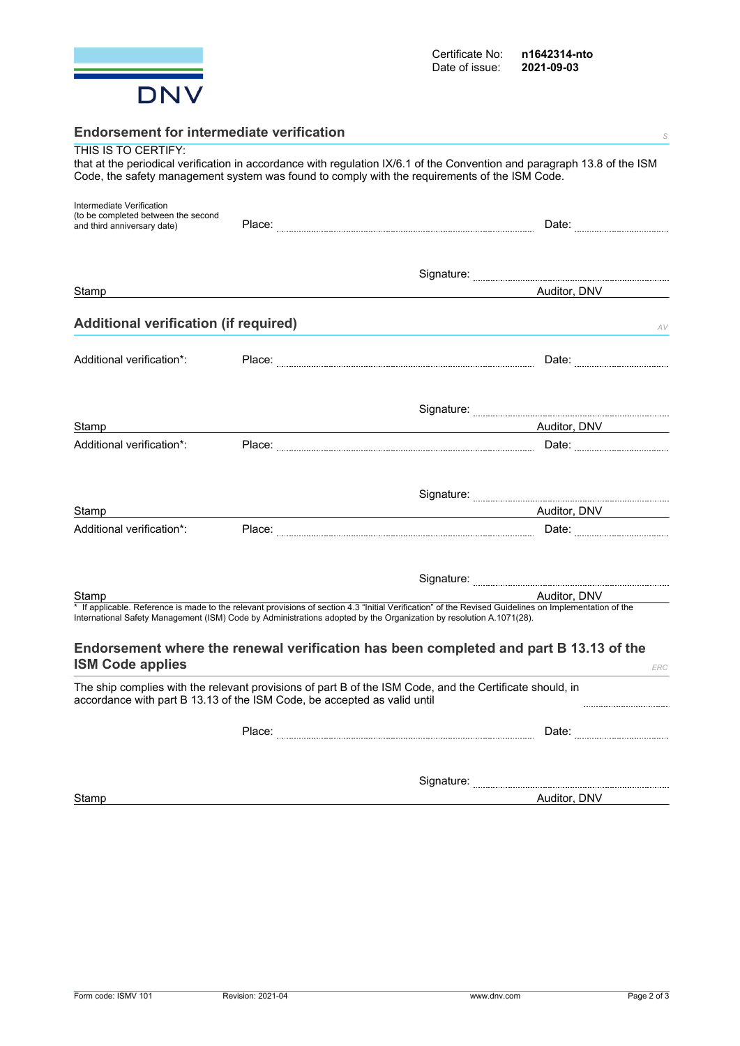

| <b>Endorsement for intermediate verification</b><br>S                    |  |                                                                                                                                                                                                                                                                               |  |
|--------------------------------------------------------------------------|--|-------------------------------------------------------------------------------------------------------------------------------------------------------------------------------------------------------------------------------------------------------------------------------|--|
| THIS IS TO CERTIFY:                                                      |  |                                                                                                                                                                                                                                                                               |  |
|                                                                          |  | that at the periodical verification in accordance with regulation IX/6.1 of the Convention and paragraph 13.8 of the ISM<br>Code, the safety management system was found to comply with the requirements of the ISM Code.                                                     |  |
|                                                                          |  |                                                                                                                                                                                                                                                                               |  |
| Intermediate Verification                                                |  |                                                                                                                                                                                                                                                                               |  |
| (to be completed between the second<br>and third anniversary date)       |  |                                                                                                                                                                                                                                                                               |  |
|                                                                          |  |                                                                                                                                                                                                                                                                               |  |
|                                                                          |  |                                                                                                                                                                                                                                                                               |  |
|                                                                          |  |                                                                                                                                                                                                                                                                               |  |
| Stamp                                                                    |  | Auditor, DNV                                                                                                                                                                                                                                                                  |  |
|                                                                          |  |                                                                                                                                                                                                                                                                               |  |
| <b>Additional verification (if required)</b>                             |  | AV                                                                                                                                                                                                                                                                            |  |
|                                                                          |  |                                                                                                                                                                                                                                                                               |  |
| Additional verification*:                                                |  |                                                                                                                                                                                                                                                                               |  |
|                                                                          |  |                                                                                                                                                                                                                                                                               |  |
|                                                                          |  |                                                                                                                                                                                                                                                                               |  |
| Stamp                                                                    |  | Auditor, DNV                                                                                                                                                                                                                                                                  |  |
| Additional verification*:                                                |  |                                                                                                                                                                                                                                                                               |  |
|                                                                          |  |                                                                                                                                                                                                                                                                               |  |
|                                                                          |  |                                                                                                                                                                                                                                                                               |  |
| Stamp                                                                    |  | Auditor, DNV                                                                                                                                                                                                                                                                  |  |
| Additional verification*:                                                |  |                                                                                                                                                                                                                                                                               |  |
|                                                                          |  |                                                                                                                                                                                                                                                                               |  |
|                                                                          |  |                                                                                                                                                                                                                                                                               |  |
|                                                                          |  |                                                                                                                                                                                                                                                                               |  |
| Stamp                                                                    |  | Auditor, DNV                                                                                                                                                                                                                                                                  |  |
|                                                                          |  | * If applicable. Reference is made to the relevant provisions of section 4.3 "Initial Verification" of the Revised Guidelines on Implementation of the<br>International Safety Management (ISM) Code by Administrations adopted by the Organization by resolution A.1071(28). |  |
|                                                                          |  |                                                                                                                                                                                                                                                                               |  |
| <b>ISM Code applies</b>                                                  |  | Endorsement where the renewal verification has been completed and part B 13.13 of the                                                                                                                                                                                         |  |
|                                                                          |  | ERC                                                                                                                                                                                                                                                                           |  |
| accordance with part B 13.13 of the ISM Code, be accepted as valid until |  | The ship complies with the relevant provisions of part B of the ISM Code, and the Certificate should, in<br>                                                                                                                                                                  |  |
|                                                                          |  |                                                                                                                                                                                                                                                                               |  |
|                                                                          |  |                                                                                                                                                                                                                                                                               |  |
|                                                                          |  |                                                                                                                                                                                                                                                                               |  |
|                                                                          |  |                                                                                                                                                                                                                                                                               |  |

Stamp **Auditor, DNV**